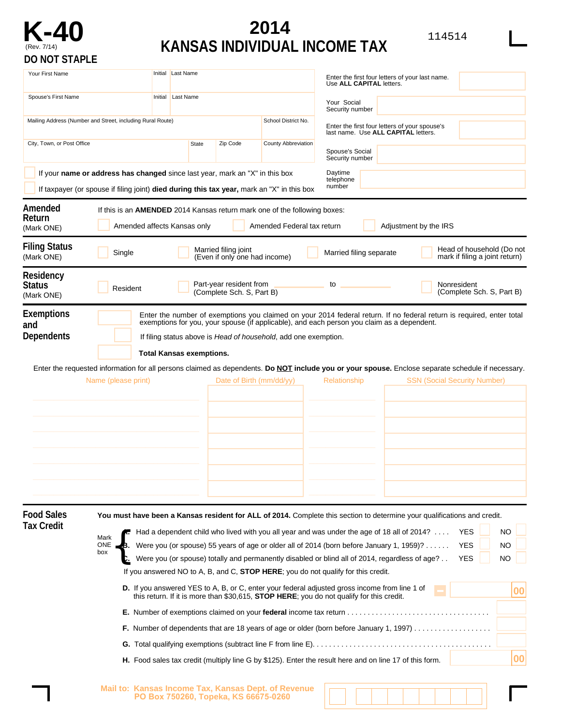

## **2014 KANSAS INDIVIDUAL INCOME TAX**

| M.<br>۰, |  |
|----------|--|
|----------|--|

| <b>VIVID LI</b>                                                                                                                                                            |         |                                 |                                                                                      |                                                                                                                |                                                                                                                                                                                                                                                                                                                                                                                                                                                                                                                                                                                                                                                                                                                                                                                                                                                                                                                     |
|----------------------------------------------------------------------------------------------------------------------------------------------------------------------------|---------|---------------------------------|--------------------------------------------------------------------------------------|----------------------------------------------------------------------------------------------------------------|---------------------------------------------------------------------------------------------------------------------------------------------------------------------------------------------------------------------------------------------------------------------------------------------------------------------------------------------------------------------------------------------------------------------------------------------------------------------------------------------------------------------------------------------------------------------------------------------------------------------------------------------------------------------------------------------------------------------------------------------------------------------------------------------------------------------------------------------------------------------------------------------------------------------|
| Your First Name                                                                                                                                                            |         | Initial Last Name<br>Last Name  |                                                                                      |                                                                                                                | Enter the first four letters of your last name.<br>Use ALL CAPITAL letters.                                                                                                                                                                                                                                                                                                                                                                                                                                                                                                                                                                                                                                                                                                                                                                                                                                         |
| Spouse's First Name                                                                                                                                                        | Initial |                                 |                                                                                      |                                                                                                                | Your Social<br>Security number                                                                                                                                                                                                                                                                                                                                                                                                                                                                                                                                                                                                                                                                                                                                                                                                                                                                                      |
| Mailing Address (Number and Street, including Rural Route)<br>City, Town, or Post Office<br>Zip Code<br>State                                                              |         | School District No.             | Enter the first four letters of your spouse's<br>last name. Use ALL CAPITAL letters. |                                                                                                                |                                                                                                                                                                                                                                                                                                                                                                                                                                                                                                                                                                                                                                                                                                                                                                                                                                                                                                                     |
|                                                                                                                                                                            |         |                                 |                                                                                      | County Abbreviation                                                                                            | Spouse's Social<br>Security number                                                                                                                                                                                                                                                                                                                                                                                                                                                                                                                                                                                                                                                                                                                                                                                                                                                                                  |
| If your name or address has changed since last year, mark an "X" in this box<br>If taxpayer (or spouse if filing joint) died during this tax year, mark an "X" in this box |         |                                 |                                                                                      |                                                                                                                | Daytime<br>telephone<br>number                                                                                                                                                                                                                                                                                                                                                                                                                                                                                                                                                                                                                                                                                                                                                                                                                                                                                      |
| Amended<br>Return<br>(Mark ONE)                                                                                                                                            |         | Amended affects Kansas only     |                                                                                      | If this is an <b>AMENDED</b> 2014 Kansas return mark one of the following boxes:<br>Amended Federal tax return | Adjustment by the IRS                                                                                                                                                                                                                                                                                                                                                                                                                                                                                                                                                                                                                                                                                                                                                                                                                                                                                               |
| <b>Filing Status</b><br>Single<br>(Mark ONE)                                                                                                                               |         |                                 | Married filing joint<br>(Even if only one had income)                                |                                                                                                                | Head of household (Do not<br>Married filing separate<br>mark if filing a joint return)                                                                                                                                                                                                                                                                                                                                                                                                                                                                                                                                                                                                                                                                                                                                                                                                                              |
| Residency<br><b>Status</b><br>Resident<br>(Mark ONE)                                                                                                                       |         |                                 | Part-year resident from<br>(Complete Sch. S, Part B)                                 |                                                                                                                | Nonresident<br>to<br>(Complete Sch. S, Part B)                                                                                                                                                                                                                                                                                                                                                                                                                                                                                                                                                                                                                                                                                                                                                                                                                                                                      |
| <b>Exemptions</b><br>and<br>Dependents<br>Name (please print)                                                                                                              |         | <b>Total Kansas exemptions.</b> |                                                                                      | If filing status above is Head of household, add one exemption.<br>Date of Birth $\frac{mm}{dd/yy}$            | Enter the number of exemptions you claimed on your 2014 federal return. If no federal return is required, enter total<br>exemptions for you, your spouse (if applicable), and each person you claim as a dependent.<br>Enter the requested information for all persons claimed as dependents. Do NOT include you or your spouse. Enclose separate schedule if necessary.<br><b>SSN (Social Security Number)</b><br>Relationship                                                                                                                                                                                                                                                                                                                                                                                                                                                                                     |
| <b>Food Sales</b><br><b>Tax Credit</b><br>Α.<br>Mark<br><b>ONE</b><br>В.<br>box                                                                                            |         |                                 |                                                                                      |                                                                                                                | You must have been a Kansas resident for ALL of 2014. Complete this section to determine your qualifications and credit.<br><b>NO</b><br>Had a dependent child who lived with you all year and was under the age of 18 all of 2014?<br><b>YES</b><br>Were you (or spouse) 55 years of age or older all of 2014 (born before January 1, 1959)?<br><b>YES</b><br>NO.<br>C. Were you (or spouse) totally and permanently disabled or blind all of 2014, regardless of age?<br><b>YES</b><br><b>NO</b><br>If you answered NO to A, B, and C, STOP HERE; you do not qualify for this credit.<br>D. If you answered YES to A, B, or C, enter your federal adjusted gross income from line 1 of<br>00<br>this return. If it is more than \$30,615, <b>STOP HERE</b> ; you do not qualify for this credit.<br>00<br>H. Food sales tax credit (multiply line G by \$125). Enter the result here and on line 17 of this form. |

**Mail to: Kansas Income Tax, Kansas Dept. of Revenue PO Box 750260, Topeka, KS 66675-0260**